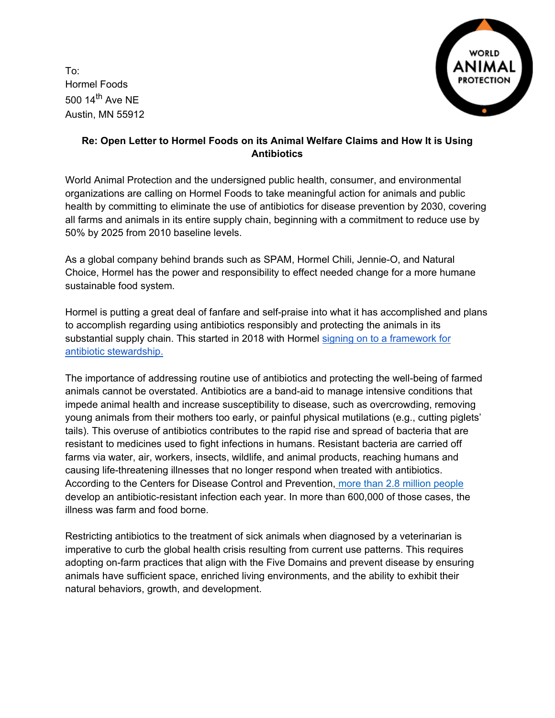To: Hormel Foods 500  $14<sup>th</sup>$  Ave NE Austin, MN 55912



# **Re: Open Letter to Hormel Foods on its Animal Welfare Claims and How It is Using Antibiotics**

World Animal Protection and the undersigned public health, consumer, and environmental organizations are calling on Hormel Foods to take meaningful action for animals and public health by committing to eliminate the use of antibiotics for disease prevention by 2030, covering all farms and animals in its entire supply chain, beginning with a commitment to reduce use by 50% by 2025 from 2010 baseline levels.

As a global company behind brands such as SPAM, Hormel Chili, Jennie-O, and Natural Choice, Hormel has the power and responsibility to effect needed change for a more humane sustainable food system.

Hormel is putting a great deal of fanfare and self-praise into what it has accomplished and plans to accomplish regarding using antibiotics responsibly and protecting the animals in its substantial supply chain. This started in 2018 with Hormel signing on to a framework for [antibiotic stewardship.](https://csr.hormelfoods.com/supply-chain/antibiotic-stewardship/) 

The importance of addressing routine use of antibiotics and protecting the well-being of farmed animals cannot be overstated. Antibiotics are a band-aid to manage intensive conditions that impede animal health and increase susceptibility to disease, such as overcrowding, removing young animals from their mothers too early, or painful physical mutilations (e.g., cutting piglets' tails). This overuse of antibiotics contributes to the rapid rise and spread of bacteria that are resistant to medicines used to fight infections in humans. Resistant bacteria are carried off farms via water, air, workers, insects, wildlife, and animal products, reaching humans and causing life-threatening illnesses that no longer respond when treated with antibiotics. According to the Centers for Disease Control and Prevention, [more than 2.8 million people](https://www.cdc.gov/drugresistance/pdf/threats-report/2019-ar-threats-report-508.pdf) develop an antibiotic-resistant infection each year. In more than 600,000 of those cases, the illness was farm and food borne.

Restricting antibiotics to the treatment of sick animals when diagnosed by a veterinarian is imperative to curb the global health crisis resulting from current use patterns. This requires adopting on-farm practices that align with the Five Domains and prevent disease by ensuring animals have sufficient space, enriched living environments, and the ability to exhibit their natural behaviors, growth, and development.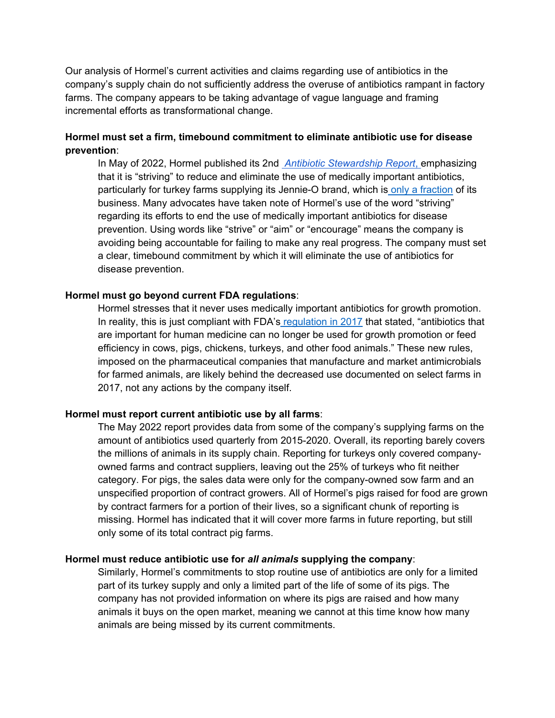Our analysis of Hormel's current activities and claims regarding use of antibiotics in the company's supply chain do not sufficiently address the overuse of antibiotics rampant in factory farms. The company appears to be taking advantage of vague language and framing incremental efforts as transformational change.

# **Hormel must set a firm, timebound commitment to eliminate antibiotic use for disease prevention**:

In May of 2022, Hormel published its 2nd*[Antibiotic Stewardship Report](https://www.hormelfoods.com/wp-content/uploads/Hormel-Foods-Antibiotic-Report-FINAL.pdf)*[, e](https://www.hormelfoods.com/wp-content/uploads/Hormel-Foods-Antibiotic-Report-FINAL.pdf)mphasizing that it is "striving" to reduce and eliminate the use of medically important antibiotics, particularly for turkey farms supplying its Jennie-O brand, which is [only a fraction](https://s25.q4cdn.com/701713307/files/doc_financials/2021/q4/Hormel-Earnings-Release-Q4,-2021-FINAL.pdf) of its business. Many advocates have taken note of Hormel's use of the word "striving" regarding its efforts to end the use of medically important antibiotics for disease prevention. Using words like "strive" or "aim" or "encourage" means the company is avoiding being accountable for failing to make any real progress. The company must set a clear, timebound commitment by which it will eliminate the use of antibiotics for disease prevention.

## **Hormel must go beyond current FDA regulations**:

Hormel stresses that it never uses medically important antibiotics for growth promotion. In reality, this is just compliant with FDA's [regulation in 2017](https://www.cidrap.umn.edu/news-perspective/2018/12/fda-reports-major-drop-antibiotics-food-animals) that stated, "antibiotics that are important for human medicine can no longer be used for growth promotion or feed efficiency in cows, pigs, chickens, turkeys, and other food animals." These new rules, imposed on the pharmaceutical companies that manufacture and market antimicrobials for farmed animals, are likely behind the decreased use documented on select farms in 2017, not any actions by the company itself.

## **Hormel must report current antibiotic use by all farms**:

The May 2022 report provides data from some of the company's supplying farms on the amount of antibiotics used quarterly from 2015-2020. Overall, its reporting barely covers the millions of animals in its supply chain. Reporting for turkeys only covered companyowned farms and contract suppliers, leaving out the 25% of turkeys who fit neither category. For pigs, the sales data were only for the company-owned sow farm and an unspecified proportion of contract growers. All of Hormel's pigs raised for food are grown by contract farmers for a portion of their lives, so a significant chunk of reporting is missing. Hormel has indicated that it will cover more farms in future reporting, but still only some of its total contract pig farms.

### **Hormel must reduce antibiotic use for** *all animals* **supplying the company**:

Similarly, Hormel's commitments to stop routine use of antibiotics are only for a limited part of its turkey supply and only a limited part of the life of some of its pigs. The company has not provided information on where its pigs are raised and how many animals it buys on the open market, meaning we cannot at this time know how many animals are being missed by its current commitments.